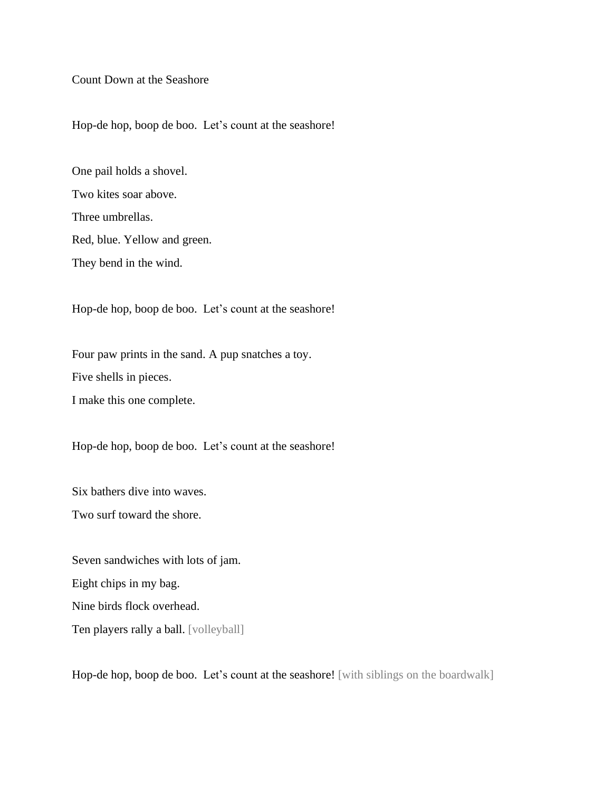Count Down at the Seashore

Hop-de hop, boop de boo. Let's count at the seashore!

One pail holds a shovel. Two kites soar above. Three umbrellas. Red, blue. Yellow and green. They bend in the wind.

Hop-de hop, boop de boo. Let's count at the seashore!

Four paw prints in the sand. A pup snatches a toy. Five shells in pieces.

I make this one complete.

Hop-de hop, boop de boo. Let's count at the seashore!

Six bathers dive into waves.

Two surf toward the shore.

Seven sandwiches with lots of jam. Eight chips in my bag. Nine birds flock overhead. Ten players rally a ball. [volleyball]

Hop-de hop, boop de boo. Let's count at the seashore! [with siblings on the boardwalk]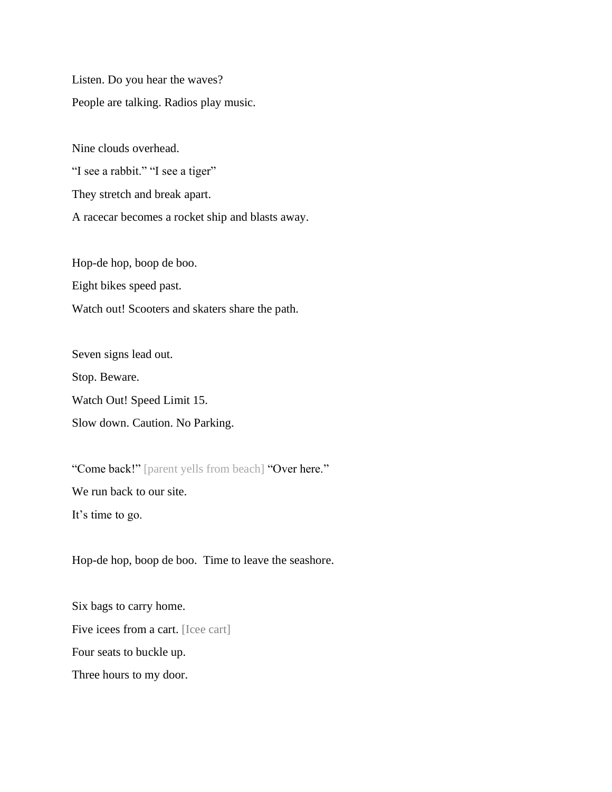Listen. Do you hear the waves? People are talking. Radios play music.

Nine clouds overhead. "I see a rabbit." "I see a tiger" They stretch and break apart. A racecar becomes a rocket ship and blasts away.

Hop-de hop, boop de boo. Eight bikes speed past. Watch out! Scooters and skaters share the path.

Seven signs lead out. Stop. Beware. Watch Out! Speed Limit 15. Slow down. Caution. No Parking.

"Come back!" [parent yells from beach] "Over here." We run back to our site. It's time to go.

Hop-de hop, boop de boo. Time to leave the seashore.

Six bags to carry home. Five icees from a cart. [Icee cart] Four seats to buckle up. Three hours to my door.